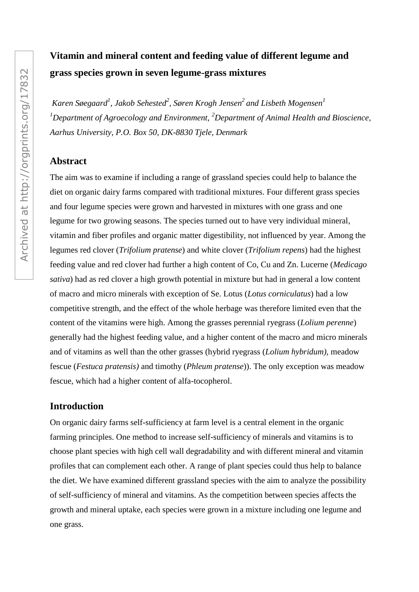# **Vitamin and mineral content and feeding value of different legume and grass species grown in seven legume-grass mixtures**

*Karen Søegaard<sup>1</sup> , Jakob Sehested<sup>2</sup> , Søren Krogh Jensen<sup>2</sup> and Lisbeth Mogensen<sup>1</sup> <sup>1</sup>Department of Agroecology and Environment, <sup>2</sup>Department of Animal Health and Bioscience, Aarhus University, P.O. Box 50, DK-8830 Tjele, Denmark*

## **Abstract**

The aim was to examine if including a range of grassland species could help to balance the diet on organic dairy farms compared with traditional mixtures. Four different grass species and four legume species were grown and harvested in mixtures with one grass and one legume for two growing seasons. The species turned out to have very individual mineral, vitamin and fiber profiles and organic matter digestibility, not influenced by year. Among the legumes red clover (*Trifolium pratense*) and white clover (*Trifolium repens*) had the highest feeding value and red clover had further a high content of Co, Cu and Zn. Lucerne (*Medicago sativa*) had as red clover a high growth potential in mixture but had in general a low content of macro and micro minerals with exception of Se. Lotus (*Lotus corniculatus*) had a low competitive strength, and the effect of the whole herbage was therefore limited even that the content of the vitamins were high. Among the grasses perennial ryegrass (*Lolium perenne*) generally had the highest feeding value, and a higher content of the macro and micro minerals and of vitamins as well than the other grasses (hybrid ryegrass (*Lolium hybridum),* meadow fescue (*Festuca pratensis)* and timothy (*Phleum pratense*)). The only exception was meadow fescue, which had a higher content of alfa-tocopherol.

# **Introduction**

On organic dairy farms self-sufficiency at farm level is a central element in the organic farming principles. One method to increase self-sufficiency of minerals and vitamins is to choose plant species with high cell wall degradability and with different mineral and vitamin profiles that can complement each other. A range of plant species could thus help to balance the diet. We have examined different grassland species with the aim to analyze the possibility of self-sufficiency of mineral and vitamins. As the competition between species affects the growth and mineral uptake, each species were grown in a mixture including one legume and one grass.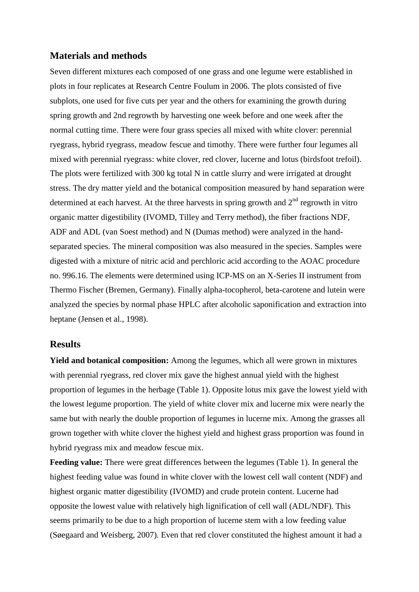#### **Materials and methods**

Seven different mixtures each composed of one grass and one legume were established in plots in four replicates at Research Centre Foulum in 2006. The plots consisted of five subplots, one used for five cuts per year and the others for examining the growth during spring growth and 2nd regrowth by harvesting one week before and one week after the normal cutting time. There were four grass species all mixed with white clover: perennial ryegrass, hybrid ryegrass, meadow fescue and timothy. There were further four legumes all mixed with perennial ryegrass: white clover, red clover, lucerne and lotus (birdsfoot trefoil). The plots were fertilized with 300 kg total N in cattle slurry and were irrigated at drought stress. The dry matter yield and the botanical composition measured by hand separation were determined at each harvest. At the three harvests in spring growth and  $2<sup>nd</sup>$  regrowth in vitro organic matter digestibility (IVOMD, Tilley and Terry method), the fiber fractions NDF, ADF and ADL (van Soest method) and N (Dumas method) were analyzed in the handseparated species. The mineral composition was also measured in the species. Samples were digested with a mixture of nitric acid and perchloric acid according to the AOAC procedure no. 996.16. The elements were determined using ICP-MS on an X-Series II instrument from Thermo Fischer (Bremen, Germany). Finally alpha-tocopherol, beta-carotene and lutein were analyzed the species by normal phase HPLC after alcoholic saponification and extraction into heptane (Jensen et al., 1998).

#### **Results**

**Yield and botanical composition:** Among the legumes, which all were grown in mixtures with perennial ryegrass, red clover mix gave the highest annual yield with the highest proportion of legumes in the herbage (Table 1). Opposite lotus mix gave the lowest yield with the lowest legume proportion. The yield of white clover mix and lucerne mix were nearly the same but with nearly the double proportion of legumes in lucerne mix. Among the grasses all grown together with white clover the highest yield and highest grass proportion was found in hybrid ryegrass mix and meadow fescue mix.

**Feeding value:** There were great differences between the legumes (Table 1). In general the highest feeding value was found in white clover with the lowest cell wall content (NDF) and highest organic matter digestibility (IVOMD) and crude protein content. Lucerne had opposite the lowest value with relatively high lignification of cell wall (ADL/NDF). This seems primarily to be due to a high proportion of lucerne stem with a low feeding value (Søegaard and Weisberg, 2007). Even that red clover constituted the highest amount it had a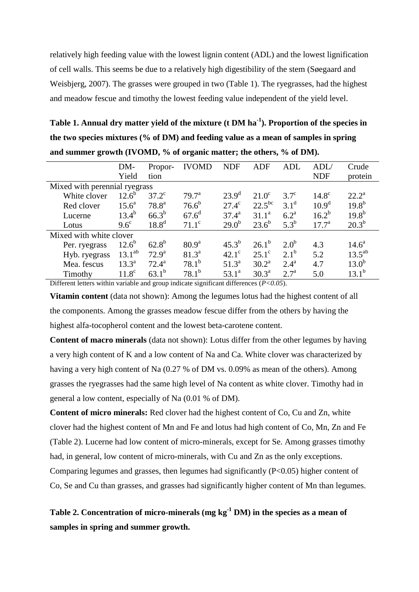relatively high feeding value with the lowest lignin content (ADL) and the lowest lignification of cell walls. This seems be due to a relatively high digestibility of the stem (Søegaard and Weisbjerg, 2007). The grasses were grouped in two (Table 1). The ryegrasses, had the highest and meadow fescue and timothy the lowest feeding value independent of the yield level.

**Table 1. Annual dry matter yield of the mixture (t DM ha-1 ). Proportion of the species in the two species mixtures (% of DM) and feeding value as a mean of samples in spring and summer growth (IVOMD, % of organic matter; the others, % of DM).** 

|                               | DM-               | Propor-           | <b>IVOMD</b>   | <b>NDF</b>     | <b>ADF</b>     | ADL                | ADL/              | Crude          |  |  |  |
|-------------------------------|-------------------|-------------------|----------------|----------------|----------------|--------------------|-------------------|----------------|--|--|--|
|                               | Yield             | tion              |                |                |                |                    | <b>NDF</b>        | protein        |  |  |  |
| Mixed with perennial ryegrass |                   |                   |                |                |                |                    |                   |                |  |  |  |
| White clover                  | $12.6^{b}$        | $37.2^{\circ}$    | $79.7^{\rm a}$ | $23.9^{\rm d}$ | $21.0^\circ$   | $3.7^\circ$        | $14.8^\circ$      | $22.2^{\rm a}$ |  |  |  |
| Red clover                    | $15.6^{\circ}$    | $78.8^{\rm a}$    | $76.6^{b}$     | $27.4^\circ$   | $22.5^{bc}$    | $3.1^d$            | 10.9 <sup>d</sup> | $19.8^{b}$     |  |  |  |
| Lucerne                       | $13.4^{b}$        | $66.3^{b}$        | $67.6^{\rm d}$ | $37.4^{\rm a}$ | $31.1^a$       | 6.2 <sup>a</sup>   | $16.2^{b}$        | $19.8^{b}$     |  |  |  |
| Lotus                         | $9.6^{\circ}$     | 18.8 <sup>d</sup> | $71.1^\circ$   | $29.0^{b}$     | $23.6^{b}$     | $5.3^b$            | $17.7^{\rm a}$    | $20.3^{b}$     |  |  |  |
| Mixed with white clover       |                   |                   |                |                |                |                    |                   |                |  |  |  |
| Per. ryegrass                 | $12.6^{b}$        | $62.8^{b}$        | $80.9^{\rm a}$ | $45.3^{b}$     | $26.1^{\rm b}$ | $2.0^b$            | 4.3               | $14.6^{\circ}$ |  |  |  |
| Hyb. ryegrass                 | $13.1^{ab}$       | $72.9^{\rm a}$    | $81.3^a$       | $42.1^{\circ}$ | $25.1^{\circ}$ | $2.1^b$            | 5.2               | $13.5^{ab}$    |  |  |  |
| Mea. fescus                   | $13.3^{\circ}$    | $72.4^{\rm a}$    | $78.1^{b}$     | $51.3^a$       | $30.2^{\rm a}$ | $2.4^{\mathrm{a}}$ | 4.7               | $13.0^{b}$     |  |  |  |
| Timothy                       | 11.8 <sup>c</sup> | $63.1^b$          | $78.1^{b}$     | $53.1^{\circ}$ | $30.3^{\rm a}$ | 2.7 <sup>a</sup>   | 5.0               | $13.1^{b}$     |  |  |  |

Different letters within variable and group indicate significant differences (*P<0.05*).

**Vitamin content** (data not shown): Among the legumes lotus had the highest content of all the components. Among the grasses meadow fescue differ from the others by having the highest alfa-tocopherol content and the lowest beta-carotene content.

**Content of macro minerals** (data not shown): Lotus differ from the other legumes by having a very high content of K and a low content of Na and Ca. White clover was characterized by having a very high content of Na (0.27 % of DM vs. 0.09% as mean of the others). Among grasses the ryegrasses had the same high level of Na content as white clover. Timothy had in general a low content, especially of Na (0.01 % of DM).

**Content of micro minerals:** Red clover had the highest content of Co, Cu and Zn, white clover had the highest content of Mn and Fe and lotus had high content of Co, Mn, Zn and Fe (Table 2). Lucerne had low content of micro-minerals, except for Se. Among grasses timothy had, in general, low content of micro-minerals, with Cu and Zn as the only exceptions. Comparing legumes and grasses, then legumes had significantly (P<0.05) higher content of Co, Se and Cu than grasses, and grasses had significantly higher content of Mn than legumes.

**Table 2. Concentration of micro-minerals (mg kg-1 DM) in the species as a mean of samples in spring and summer growth.**